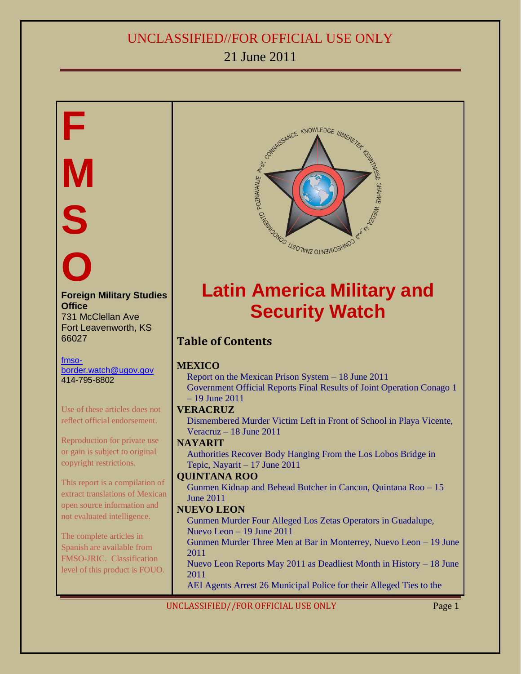# 21 June 2011

# **F M S O Foreign Military Studies Office** 731 McClellan Ave Fort Leavenworth, KS 66027 [fmso](mailto:fmso-border.watch@ugov.gov)[border.watch@ugov.gov](mailto:fmso-border.watch@ugov.gov) 414-795-8802 Use of these articles does not reflect official endorsement. Reproduction for private use or gain is subject to original copyright restrictions. This report is a compilation of extract translations of Mexican open source information and not evaluated intelligence. The complete articles in Spanish are available from FMSO-JRIC. Classification level of this product is FOUO.



# **Latin America Military and Security Watch**

### **Table of Contents**

#### **[MEXICO](#page-2-0)**

[Report on the Mexican Prison System](#page-2-1) – 18 June 2011 [Government Official Reports Final Results of Joint Operation Conago 1](#page-4-0) – 19 [June 2011](#page-4-0)

#### <span id="page-0-0"></span>**[VERACRUZ](#page-4-1)**

[Dismembered Murder Victim Left in Front of School in Playa Vicente,](#page-4-2)  Veracruz – 18 [June 2011](#page-4-2)

#### **[NAYARIT](#page-5-0)** [Authorities Recover Body Hanging From the Los Lobos Bridge in](#page-5-1)

[Tepic, Nayarit –](#page-5-1) 17 June 2011

#### **[QUINTANA ROO](#page-5-2)**

[Gunmen Kidnap and Behead Butcher in Cancun, Quintana Roo –](#page-5-3) 15 [June 2011](#page-5-3)

#### **[NUEVO LEON](#page-6-0)**

[Gunmen Murder Four Alleged Los Zetas Operators in Guadalupe,](#page-6-1)  [Nuevo Leon](#page-6-1) – 19 June 2011

[Gunmen Murder Three Men at Bar in Monterrey, Nuevo Leon](#page-6-2) – 19 June [2011](#page-6-2)

[Nuevo Leon Reports May 2011 as Deadliest Month in History](#page-6-3) – 18 June [2011](#page-6-3)

[AEI Agents Arrest 26 Municipal Police for their Alleged Ties to the](#page-7-0)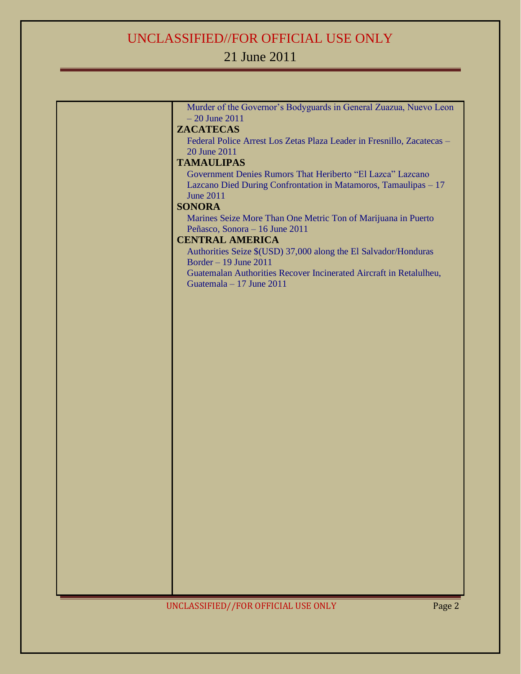# 21 June 2011

| Murder of the Governor's Bodyguards in General Zuazua, Nuevo Leon<br>$-20$ June $2011$          |
|-------------------------------------------------------------------------------------------------|
| <b>ZACATECAS</b>                                                                                |
| Federal Police Arrest Los Zetas Plaza Leader in Fresnillo, Zacatecas -                          |
| 20 June 2011                                                                                    |
| <b>TAMAULIPAS</b>                                                                               |
| Government Denies Rumors That Heriberto "El Lazca" Lazcano                                      |
| Lazcano Died During Confrontation in Matamoros, Tamaulipas - 17                                 |
| <b>June 2011</b>                                                                                |
| <b>SONORA</b>                                                                                   |
| Marines Seize More Than One Metric Ton of Marijuana in Puerto<br>Peñasco, Sonora – 16 June 2011 |
| <b>CENTRAL AMERICA</b>                                                                          |
| Authorities Seize \$(USD) 37,000 along the El Salvador/Honduras                                 |
| Border $-19$ June 2011                                                                          |
| Guatemalan Authorities Recover Incinerated Aircraft in Retalulheu,                              |
| Guatemala - 17 June 2011                                                                        |
|                                                                                                 |
|                                                                                                 |
|                                                                                                 |
|                                                                                                 |
|                                                                                                 |
|                                                                                                 |
|                                                                                                 |
|                                                                                                 |
|                                                                                                 |
|                                                                                                 |
|                                                                                                 |
|                                                                                                 |
|                                                                                                 |
|                                                                                                 |
|                                                                                                 |
|                                                                                                 |
|                                                                                                 |
|                                                                                                 |
|                                                                                                 |
|                                                                                                 |
|                                                                                                 |
|                                                                                                 |
|                                                                                                 |
|                                                                                                 |
|                                                                                                 |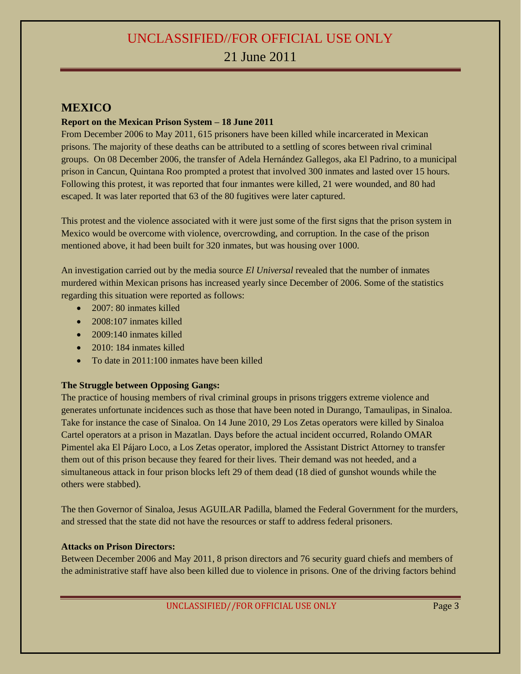#### <span id="page-2-0"></span>**MEXICO**

#### <span id="page-2-1"></span>**Report on the Mexican Prison System – 18 June 2011**

From December 2006 to May 2011, 615 prisoners have been killed while incarcerated in Mexican prisons. The majority of these deaths can be attributed to a settling of scores between rival criminal groups. On 08 December 2006, the transfer of Adela Hernández Gallegos, aka El Padrino, to a municipal prison in Cancun, Quintana Roo prompted a protest that involved 300 inmates and lasted over 15 hours. Following this protest, it was reported that four inmantes were killed, 21 were wounded, and 80 had escaped. It was later reported that 63 of the 80 fugitives were later captured.

This protest and the violence associated with it were just some of the first signs that the prison system in Mexico would be overcome with violence, overcrowding, and corruption. In the case of the prison mentioned above, it had been built for 320 inmates, but was housing over 1000.

An investigation carried out by the media source *El Universal* revealed that the number of inmates murdered within Mexican prisons has increased yearly since December of 2006. Some of the statistics regarding this situation were reported as follows:

- 2007: 80 inmates killed
- 2008:107 inmates killed
- $\bullet$  2009:140 inmates killed
- 2010: 184 inmates killed
- To date in 2011:100 inmates have been killed

#### **The Struggle between Opposing Gangs:**

The practice of housing members of rival criminal groups in prisons triggers extreme violence and generates unfortunate incidences such as those that have been noted in Durango, Tamaulipas, in Sinaloa. Take for instance the case of Sinaloa. On 14 June 2010, 29 Los Zetas operators were killed by Sinaloa Cartel operators at a prison in Mazatlan. Days before the actual incident occurred, Rolando OMAR Pimentel aka El Pájaro Loco, a Los Zetas operator, implored the Assistant District Attorney to transfer them out of this prison because they feared for their lives. Their demand was not heeded, and a simultaneous attack in four prison blocks left 29 of them dead (18 died of gunshot wounds while the others were stabbed).

The then Governor of Sinaloa, Jesus AGUILAR Padilla, blamed the Federal Government for the murders, and stressed that the state did not have the resources or staff to address federal prisoners.

#### **Attacks on Prison Directors:**

Between December 2006 and May 2011, 8 prison directors and 76 security guard chiefs and members of the administrative staff have also been killed due to violence in prisons. One of the driving factors behind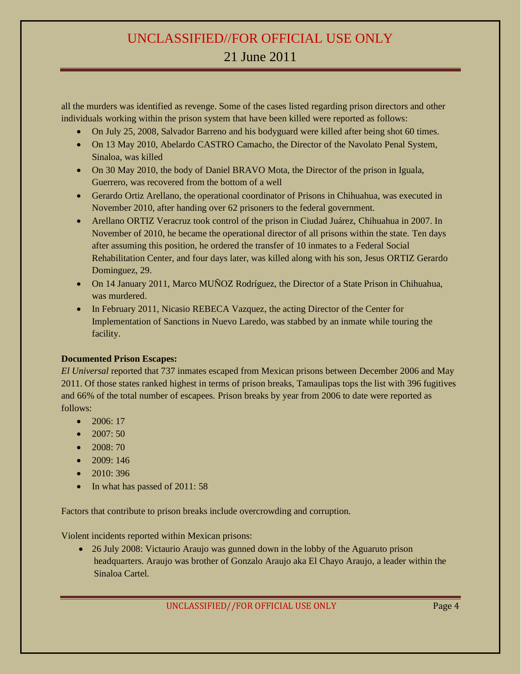all the murders was identified as revenge. Some of the cases listed regarding prison directors and other individuals working within the prison system that have been killed were reported as follows:

- On July 25, 2008, Salvador Barreno and his bodyguard were killed after being shot 60 times.
- On 13 May 2010, Abelardo CASTRO Camacho, the Director of the Navolato Penal System, Sinaloa, was killed
- On 30 May 2010, the body of Daniel BRAVO Mota, the Director of the prison in Iguala, Guerrero, was recovered from the bottom of a well
- Gerardo Ortiz Arellano, the operational coordinator of Prisons in Chihuahua, was executed in November 2010, after handing over 62 prisoners to the federal government.
- Arellano ORTIZ Veracruz took control of the prison in Ciudad Juárez, Chihuahua in 2007. In November of 2010, he became the operational director of all prisons within the state. Ten days after assuming this position, he ordered the transfer of 10 inmates to a Federal Social Rehabilitation Center, and four days later, was killed along with his son, Jesus ORTIZ Gerardo Dominguez, 29.
- On 14 January 2011, Marco MUÑOZ Rodríguez, the Director of a State Prison in Chihuahua, was murdered.
- In February 2011, Nicasio REBECA Vazquez, the acting Director of the Center for Implementation of Sanctions in Nuevo Laredo, was stabbed by an inmate while touring the facility.

#### **Documented Prison Escapes:**

*El Universal* reported that 737 inmates escaped from Mexican prisons between December 2006 and May 2011. Of those states ranked highest in terms of prison breaks, Tamaulipas tops the list with 396 fugitives and 66% of the total number of escapees. Prison breaks by year from 2006 to date were reported as follows:

- $\bullet$  2006: 17
- $\bullet$  2007: 50
- $\bullet$  2008: 70
- $\bullet$  2009: 146
- $\bullet$  2010: 396
- In what has passed of 2011: 58

Factors that contribute to prison breaks include overcrowding and corruption.

Violent incidents reported within Mexican prisons:

 26 July 2008: Victaurio Araujo was gunned down in the lobby of the Aguaruto prison headquarters. Araujo was brother of Gonzalo Araujo aka El Chayo Araujo, a leader within the Sinaloa Cartel.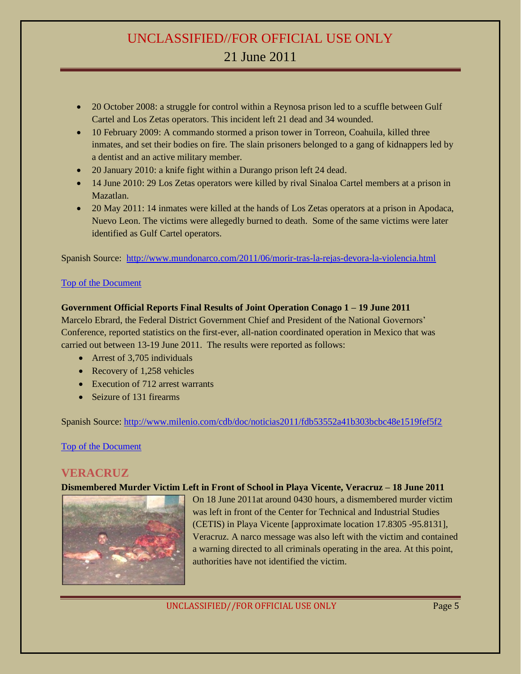- 20 October 2008: a struggle for control within a Reynosa prison led to a scuffle between Gulf Cartel and Los Zetas operators. This incident left 21 dead and 34 wounded.
- 10 February 2009: A commando stormed a prison tower in Torreon, Coahuila, killed three inmates, and set their bodies on fire. The slain prisoners belonged to a gang of kidnappers led by a dentist and an active military member.
- 20 January 2010: a knife fight within a Durango prison left 24 dead.
- 14 June 2010: 29 Los Zetas operators were killed by rival Sinaloa Cartel members at a prison in Mazatlan.
- 20 May 2011: 14 inmates were killed at the hands of Los Zetas operators at a prison in Apodaca, Nuevo Leon. The victims were allegedly burned to death. Some of the same victims were later identified as Gulf Cartel operators.

Spanish Source: <http://www.mundonarco.com/2011/06/morir-tras-la-rejas-devora-la-violencia.html>

#### [Top of the Document](#page-0-0)

#### <span id="page-4-0"></span>**Government Official Reports Final Results of Joint Operation Conago 1 – 19 June 2011**

Marcelo Ebrard, the Federal District Government Chief and President of the National Governors' Conference, reported statistics on the first-ever, all-nation coordinated operation in Mexico that was carried out between 13-19 June 2011. The results were reported as follows:

- Arrest of 3,705 individuals
- Recovery of 1,258 vehicles
- Execution of 712 arrest warrants
- Seizure of 131 firearms

Spanish Source:<http://www.milenio.com/cdb/doc/noticias2011/fdb53552a41b303bcbc48e1519fef5f2>

[Top of the Document](#page-0-0)

#### <span id="page-4-1"></span>**VERACRUZ**

#### <span id="page-4-2"></span>**Dismembered Murder Victim Left in Front of School in Playa Vicente, Veracruz – 18 June 2011**



On 18 June 2011at around 0430 hours, a dismembered murder victim was left in front of the Center for Technical and Industrial Studies (CETIS) in Playa Vicente [approximate location 17.8305 -95.8131], Veracruz. A narco message was also left with the victim and contained a warning directed to all criminals operating in the area. At this point, authorities have not identified the victim.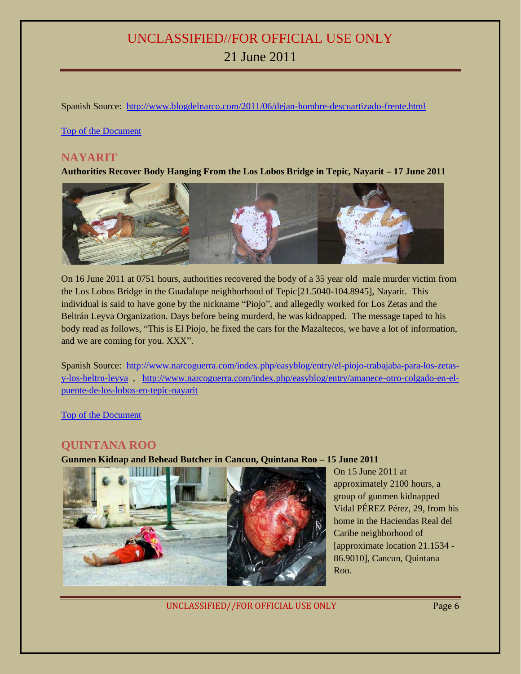Spanish Source: <http://www.blogdelnarco.com/2011/06/dejan-hombre-descuartizado-frente.html>

[Top of the Document](#page-0-0)

#### <span id="page-5-0"></span>**NAYARIT**

<span id="page-5-1"></span>**Authorities Recover Body Hanging From the Los Lobos Bridge in Tepic, Nayarit – 17 June 2011**



On 16 June 2011 at 0751 hours, authorities recovered the body of a 35 year old male murder victim from the Los Lobos Bridge in the Guadalupe neighborhood of Tepic[21.5040-104.8945], Nayarit. This individual is said to have gone by the nickname "Piojo", and allegedly worked for Los Zetas and the Beltrán Leyva Organization. Days before being murderd, he was kidnapped. The message taped to his body read as follows, "This is El Piojo, he fixed the cars for the Mazaltecos, we have a lot of information, and we are coming for you. XXX".

Spanish Source: [http://www.narcoguerra.com/index.php/easyblog/entry/el-piojo-trabajaba-para-los-zetas](http://www.narcoguerra.com/index.php/easyblog/entry/el-piojo-trabajaba-para-los-zetas-y-los-beltrn-leyva)[y-los-beltrn-leyva](http://www.narcoguerra.com/index.php/easyblog/entry/el-piojo-trabajaba-para-los-zetas-y-los-beltrn-leyva) , [http://www.narcoguerra.com/index.php/easyblog/entry/amanece-otro-colgado-en-el](http://www.narcoguerra.com/index.php/easyblog/entry/amanece-otro-colgado-en-el-puente-de-los-lobos-en-tepic-nayarit)[puente-de-los-lobos-en-tepic-nayarit](http://www.narcoguerra.com/index.php/easyblog/entry/amanece-otro-colgado-en-el-puente-de-los-lobos-en-tepic-nayarit)

[Top of the Document](#page-0-0)

#### <span id="page-5-2"></span>**QUINTANA ROO**

#### <span id="page-5-3"></span>**Gunmen Kidnap and Behead Butcher in Cancun, Quintana Roo – 15 June 2011**



On 15 June 2011 at approximately 2100 hours, a group of gunmen kidnapped Vidal PÉREZ Pérez, 29, from his home in the Haciendas Real del Caribe neighborhood of [approximate location 21.1534 - 86.9010], Cancun, Quintana Roo.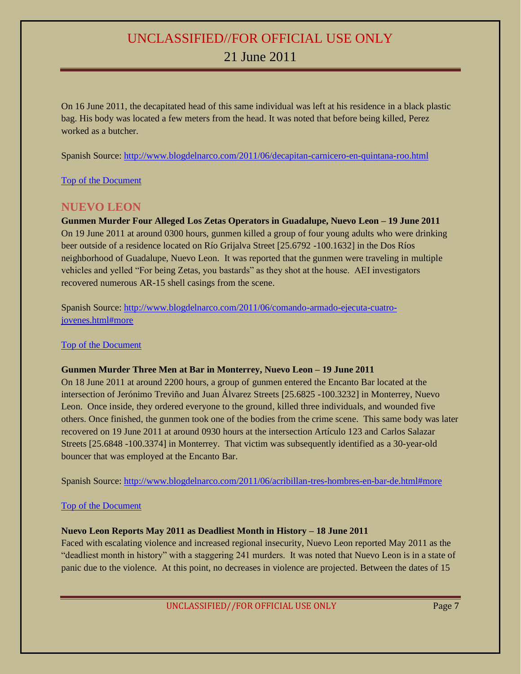On 16 June 2011, the decapitated head of this same individual was left at his residence in a black plastic bag. His body was located a few meters from the head. It was noted that before being killed, Perez worked as a butcher.

Spanish Source:<http://www.blogdelnarco.com/2011/06/decapitan-carnicero-en-quintana-roo.html>

[Top of the Document](#page-0-0)

#### <span id="page-6-0"></span>**NUEVO LEON**

<span id="page-6-1"></span>**Gunmen Murder Four Alleged Los Zetas Operators in Guadalupe, Nuevo Leon – 19 June 2011** On 19 June 2011 at around 0300 hours, gunmen killed a group of four young adults who were drinking beer outside of a residence located on Río Grijalva Street [25.6792 -100.1632] in the Dos Ríos neighborhood of Guadalupe, Nuevo Leon. It was reported that the gunmen were traveling in multiple vehicles and yelled "For being Zetas, you bastards" as they shot at the house. AEI investigators recovered numerous AR-15 shell casings from the scene.

Spanish Source: [http://www.blogdelnarco.com/2011/06/comando-armado-ejecuta-cuatro](http://www.blogdelnarco.com/2011/06/comando-armado-ejecuta-cuatro-jovenes.html#more)[jovenes.html#more](http://www.blogdelnarco.com/2011/06/comando-armado-ejecuta-cuatro-jovenes.html#more)

#### [Top of the Document](#page-0-0)

#### <span id="page-6-2"></span>**Gunmen Murder Three Men at Bar in Monterrey, Nuevo Leon – 19 June 2011**

On 18 June 2011 at around 2200 hours, a group of gunmen entered the Encanto Bar located at the intersection of Jerónimo Treviño and Juan Álvarez Streets [25.6825 -100.3232] in Monterrey, Nuevo Leon. Once inside, they ordered everyone to the ground, killed three individuals, and wounded five others. Once finished, the gunmen took one of the bodies from the crime scene. This same body was later recovered on 19 June 2011 at around 0930 hours at the intersection Artículo 123 and Carlos Salazar Streets [25.6848 -100.3374] in Monterrey. That victim was subsequently identified as a 30-year-old bouncer that was employed at the Encanto Bar.

Spanish Source:<http://www.blogdelnarco.com/2011/06/acribillan-tres-hombres-en-bar-de.html#more>

#### [Top of the Document](#page-0-0)

#### <span id="page-6-3"></span>**Nuevo Leon Reports May 2011 as Deadliest Month in History – 18 June 2011**

Faced with escalating violence and increased regional insecurity, Nuevo Leon reported May 2011 as the "deadliest month in history" with a staggering 241 murders. It was noted that Nuevo Leon is in a state of panic due to the violence. At this point, no decreases in violence are projected. Between the dates of 15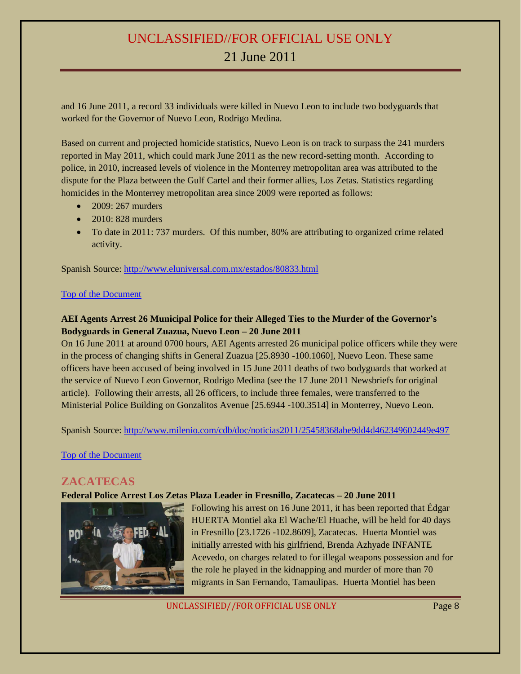and 16 June 2011, a record 33 individuals were killed in Nuevo Leon to include two bodyguards that worked for the Governor of Nuevo Leon, Rodrigo Medina.

Based on current and projected homicide statistics, Nuevo Leon is on track to surpass the 241 murders reported in May 2011, which could mark June 2011 as the new record-setting month. According to police, in 2010, increased levels of violence in the Monterrey metropolitan area was attributed to the dispute for the Plaza between the Gulf Cartel and their former allies, Los Zetas. Statistics regarding homicides in the Monterrey metropolitan area since 2009 were reported as follows:

- 2009: 267 murders
- $\bullet$  2010: 828 murders
- To date in 2011: 737 murders. Of this number, 80% are attributing to organized crime related activity.

Spanish Source: <http://www.eluniversal.com.mx/estados/80833.html>

#### [Top of the Document](#page-0-0)

#### <span id="page-7-0"></span>**AEI Agents Arrest 26 Municipal Police for their Alleged Ties to the Murder of the Governor's Bodyguards in General Zuazua, Nuevo Leon – 20 June 2011**

On 16 June 2011 at around 0700 hours, AEI Agents arrested 26 municipal police officers while they were in the process of changing shifts in General Zuazua [25.8930 -100.1060], Nuevo Leon. These same officers have been accused of being involved in 15 June 2011 deaths of two bodyguards that worked at the service of Nuevo Leon Governor, Rodrigo Medina (see the 17 June 2011 Newsbriefs for original article). Following their arrests, all 26 officers, to include three females, were transferred to the Ministerial Police Building on Gonzalitos Avenue [25.6944 -100.3514] in Monterrey, Nuevo Leon.

Spanish Source:<http://www.milenio.com/cdb/doc/noticias2011/25458368abe9dd4d462349602449e497>

[Top of the Document](#page-0-0)

#### <span id="page-7-1"></span>**ZACATECAS**

#### <span id="page-7-2"></span>**Federal Police Arrest Los Zetas Plaza Leader in Fresnillo, Zacatecas – 20 June 2011**



Following his arrest on 16 June 2011, it has been reported that Édgar HUERTA Montiel aka El Wache/El Huache, will be held for 40 days in Fresnillo [23.1726 -102.8609], Zacatecas. Huerta Montiel was initially arrested with his girlfriend, Brenda Azhyade INFANTE Acevedo, on charges related to for illegal weapons possession and for the role he played in the kidnapping and murder of more than 70 migrants in San Fernando, Tamaulipas. Huerta Montiel has been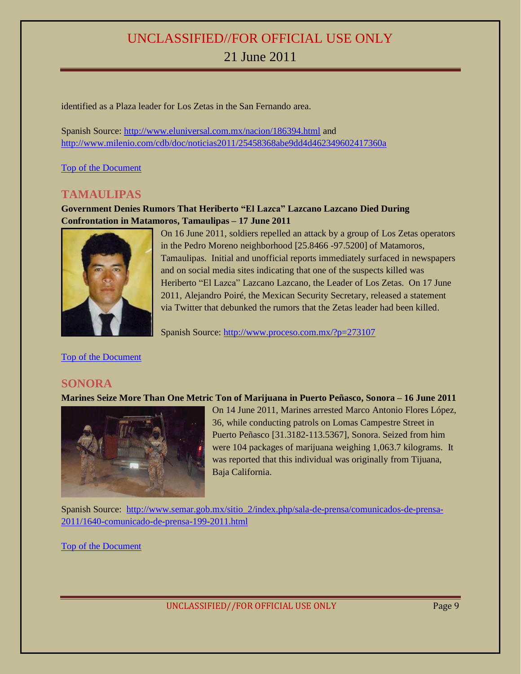identified as a Plaza leader for Los Zetas in the San Fernando area.

Spanish Source:<http://www.eluniversal.com.mx/nacion/186394.html> and <http://www.milenio.com/cdb/doc/noticias2011/25458368abe9dd4d462349602417360a>

[Top of the Document](#page-0-0)

#### <span id="page-8-0"></span>**TAMAULIPAS**

<span id="page-8-1"></span>**Government Denies Rumors That Heriberto "El Lazca" Lazcano Lazcano Died During Confrontation in Matamoros, Tamaulipas – 17 June 2011**



On 16 June 2011, soldiers repelled an attack by a group of Los Zetas operators in the Pedro Moreno neighborhood [25.8466 -97.5200] of Matamoros, Tamaulipas. Initial and unofficial reports immediately surfaced in newspapers and on social media sites indicating that one of the suspects killed was Heriberto "El Lazca" Lazcano Lazcano, the Leader of Los Zetas. On 17 June 2011, Alejandro Poiré, the Mexican Security Secretary, released a statement via Twitter that debunked the rumors that the Zetas leader had been killed.

Spanish Source:<http://www.proceso.com.mx/?p=273107>

[Top of the Document](#page-0-0)

#### <span id="page-8-2"></span>**SONORA**

<span id="page-8-3"></span>**Marines Seize More Than One Metric Ton of Marijuana in Puerto Peñasco, Sonora – 16 June 2011**



On 14 June 2011, Marines arrested Marco Antonio Flores López, 36, while conducting patrols on Lomas Campestre Street in Puerto Peñasco [31.3182-113.5367], Sonora. Seized from him were 104 packages of marijuana weighing 1,063.7 kilograms. It was reported that this individual was originally from Tijuana, Baja California.

Spanish Source: [http://www.semar.gob.mx/sitio\\_2/index.php/sala-de-prensa/comunicados-de-prensa-](http://www.semar.gob.mx/sitio_2/index.php/sala-de-prensa/comunicados-de-prensa-2011/1640-comunicado-de-prensa-199-2011.html)[2011/1640-comunicado-de-prensa-199-2011.html](http://www.semar.gob.mx/sitio_2/index.php/sala-de-prensa/comunicados-de-prensa-2011/1640-comunicado-de-prensa-199-2011.html)

[Top of the Document](#page-0-0)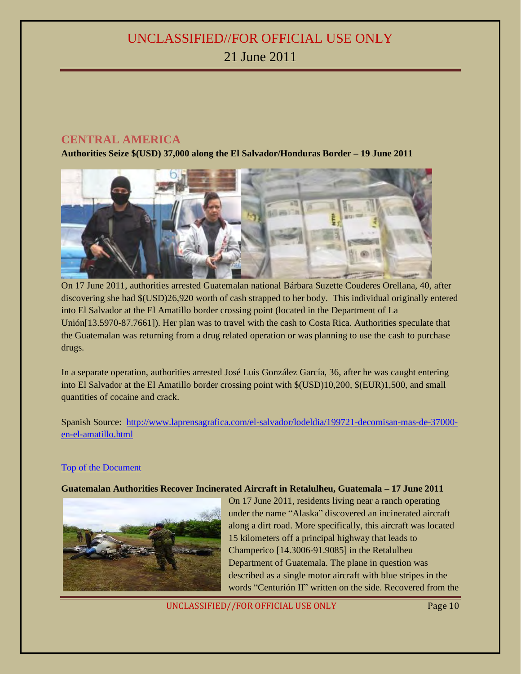#### <span id="page-9-0"></span>**CENTRAL AMERICA**

<span id="page-9-1"></span>**Authorities Seize \$(USD) 37,000 along the El Salvador/Honduras Border – 19 June 2011**



On 17 June 2011, authorities arrested Guatemalan national Bárbara Suzette Couderes Orellana, 40, after discovering she had \$(USD)26,920 worth of cash strapped to her body. This individual originally entered into El Salvador at the El Amatillo border crossing point (located in the Department of La Unión[13.5970-87.7661]). Her plan was to travel with the cash to Costa Rica. Authorities speculate that the Guatemalan was returning from a drug related operation or was planning to use the cash to purchase drugs.

In a separate operation, authorities arrested José Luis González García, 36, after he was caught entering into El Salvador at the El Amatillo border crossing point with \$(USD)10,200, \$(EUR)1,500, and small quantities of cocaine and crack.

Spanish Source: [http://www.laprensagrafica.com/el-salvador/lodeldia/199721-decomisan-mas-de-37000](http://www.laprensagrafica.com/el-salvador/lodeldia/199721-decomisan-mas-de-37000-en-el-amatillo.html) [en-el-amatillo.html](http://www.laprensagrafica.com/el-salvador/lodeldia/199721-decomisan-mas-de-37000-en-el-amatillo.html)

#### [Top of the Document](#page-0-0)

#### <span id="page-9-2"></span>**Guatemalan Authorities Recover Incinerated Aircraft in Retalulheu, Guatemala – 17 June 2011**



On 17 June 2011, residents living near a ranch operating under the name "Alaska" discovered an incinerated aircraft along a dirt road. More specifically, this aircraft was located 15 kilometers off a principal highway that leads to Champerico [14.3006-91.9085] in the Retalulheu Department of Guatemala. The plane in question was described as a single motor aircraft with blue stripes in the words "Centurión II" written on the side. Recovered from the